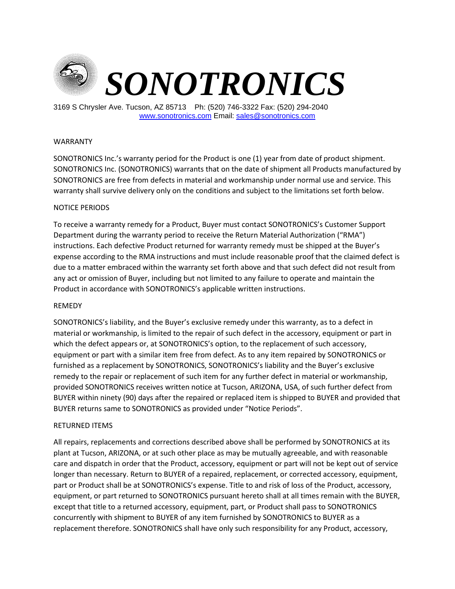

3169 S Chrysler Ave. Tucson, AZ 85713 Ph: (520) 746-3322 Fax: (520) 294-2040 [www.sonotronics.com](http://www.sonotronics.com/) Email: [sales@sonotronics.com](mailto:sales@sonotronics.com)

## WARRANTY

SONOTRONICS Inc.'s warranty period for the Product is one (1) year from date of product shipment. SONOTRONICS Inc. (SONOTRONICS) warrants that on the date of shipment all Products manufactured by SONOTRONICS are free from defects in material and workmanship under normal use and service. This warranty shall survive delivery only on the conditions and subject to the limitations set forth below.

## NOTICE PERIODS

To receive a warranty remedy for a Product, Buyer must contact SONOTRONICS's Customer Support Department during the warranty period to receive the Return Material Authorization ("RMA") instructions. Each defective Product returned for warranty remedy must be shipped at the Buyer's expense according to the RMA instructions and must include reasonable proof that the claimed defect is due to a matter embraced within the warranty set forth above and that such defect did not result from any act or omission of Buyer, including but not limited to any failure to operate and maintain the Product in accordance with SONOTRONICS's applicable written instructions.

## REMEDY

SONOTRONICS's liability, and the Buyer's exclusive remedy under this warranty, as to a defect in material or workmanship, is limited to the repair of such defect in the accessory, equipment or part in which the defect appears or, at SONOTRONICS's option, to the replacement of such accessory, equipment or part with a similar item free from defect. As to any item repaired by SONOTRONICS or furnished as a replacement by SONOTRONICS, SONOTRONICS's liability and the Buyer's exclusive remedy to the repair or replacement of such item for any further defect in material or workmanship, provided SONOTRONICS receives written notice at Tucson, ARIZONA, USA, of such further defect from BUYER within ninety (90) days after the repaired or replaced item is shipped to BUYER and provided that BUYER returns same to SONOTRONICS as provided under "Notice Periods".

## RETURNED ITEMS

All repairs, replacements and corrections described above shall be performed by SONOTRONICS at its plant at Tucson, ARIZONA, or at such other place as may be mutually agreeable, and with reasonable care and dispatch in order that the Product, accessory, equipment or part will not be kept out of service longer than necessary. Return to BUYER of a repaired, replacement, or corrected accessory, equipment, part or Product shall be at SONOTRONICS's expense. Title to and risk of loss of the Product, accessory, equipment, or part returned to SONOTRONICS pursuant hereto shall at all times remain with the BUYER, except that title to a returned accessory, equipment, part, or Product shall pass to SONOTRONICS concurrently with shipment to BUYER of any item furnished by SONOTRONICS to BUYER as a replacement therefore. SONOTRONICS shall have only such responsibility for any Product, accessory,